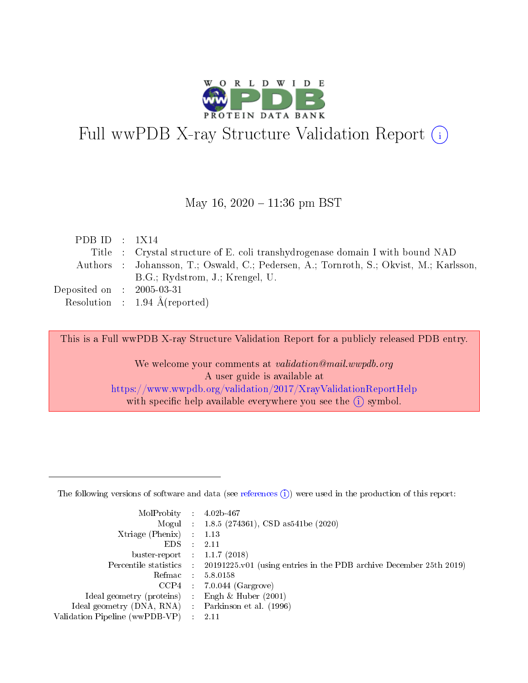

# Full wwPDB X-ray Structure Validation Report (i)

#### May 16,  $2020 - 11:36$  pm BST

| PDB ID : $1X14$                     |                                                                                        |
|-------------------------------------|----------------------------------------------------------------------------------------|
|                                     | Title : Crystal structure of E. coli transhydrogenase domain I with bound NAD          |
|                                     | Authors : Johansson, T.; Oswald, C.; Pedersen, A.; Tornroth, S.; Okvist, M.; Karlsson, |
|                                     | B.G.; Rydstrom, J.; Krengel, U.                                                        |
| Deposited on $\;$ : 2005-03-31 $\;$ |                                                                                        |
|                                     | Resolution : $1.94 \text{ Å}$ (reported)                                               |

This is a Full wwPDB X-ray Structure Validation Report for a publicly released PDB entry.

We welcome your comments at validation@mail.wwpdb.org A user guide is available at <https://www.wwpdb.org/validation/2017/XrayValidationReportHelp> with specific help available everywhere you see the  $(i)$  symbol.

The following versions of software and data (see [references](https://www.wwpdb.org/validation/2017/XrayValidationReportHelp#references)  $(1)$ ) were used in the production of this report:

| MolProbity :                   |               | $4.02b - 467$                                                               |
|--------------------------------|---------------|-----------------------------------------------------------------------------|
|                                |               | Mogul : $1.8.5$ (274361), CSD as 541be (2020)                               |
| Xtriage (Phenix)               | $\mathcal{L}$ | 1.13                                                                        |
| EDS.                           |               | 2.11                                                                        |
| buster-report : $1.1.7$ (2018) |               |                                                                             |
| Percentile statistics :        |               | $20191225 \text{v}01$ (using entries in the PDB archive December 25th 2019) |
| Refmac :                       |               | 5.8.0158                                                                    |
| CCP4                           |               | $7.0.044$ (Gargrove)                                                        |
| Ideal geometry (proteins) :    |               | Engh $\&$ Huber (2001)                                                      |
| Ideal geometry (DNA, RNA) :    |               | Parkinson et al. (1996)                                                     |
| Validation Pipeline (wwPDB-VP) | $\mathcal{L}$ | 2.11                                                                        |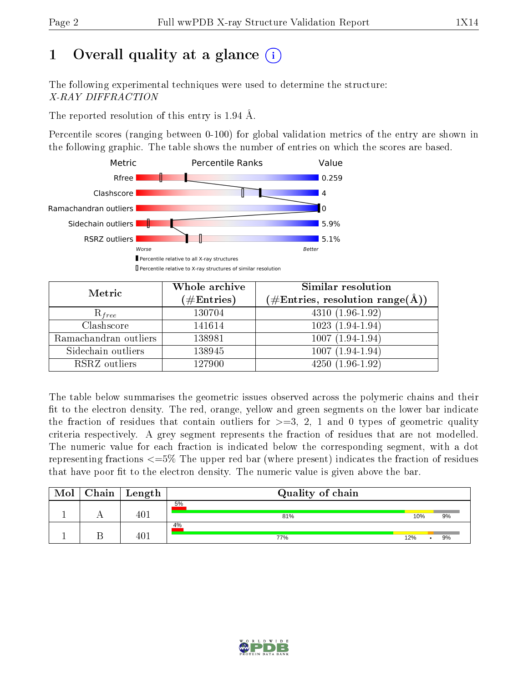# 1 [O](https://www.wwpdb.org/validation/2017/XrayValidationReportHelp#overall_quality)verall quality at a glance  $(i)$

The following experimental techniques were used to determine the structure: X-RAY DIFFRACTION

The reported resolution of this entry is 1.94 Å.

Percentile scores (ranging between 0-100) for global validation metrics of the entry are shown in the following graphic. The table shows the number of entries on which the scores are based.



| Metric                | Whole archive<br>$(\#\mathrm{Entries})$ | Similar resolution<br>$(\#\text{Entries}, \text{resolution range}(\textup{\AA}))$ |  |  |
|-----------------------|-----------------------------------------|-----------------------------------------------------------------------------------|--|--|
| $R_{free}$            | 130704                                  | $4310(1.96-1.92)$                                                                 |  |  |
| Clashscore            | 141614                                  | $1023(1.94-1.94)$                                                                 |  |  |
| Ramachandran outliers | 138981                                  | $1007(1.94-1.94)$                                                                 |  |  |
| Sidechain outliers    | 138945                                  | $1007(1.94-1.94)$                                                                 |  |  |
| RSRZ outliers         | 127900                                  | $4250(1.96-1.92)$                                                                 |  |  |

The table below summarises the geometric issues observed across the polymeric chains and their fit to the electron density. The red, orange, yellow and green segments on the lower bar indicate the fraction of residues that contain outliers for  $>=3, 2, 1$  and 0 types of geometric quality criteria respectively. A grey segment represents the fraction of residues that are not modelled. The numeric value for each fraction is indicated below the corresponding segment, with a dot representing fractions  $\epsilon=5\%$  The upper red bar (where present) indicates the fraction of residues that have poor fit to the electron density. The numeric value is given above the bar.

| Mol | $Chain$ Length | Quality of chain |     |    |
|-----|----------------|------------------|-----|----|
|     | 401            | 5%<br>81%        | 10% | 9% |
|     | 401            | 4%<br>77%        | 12% | 9% |

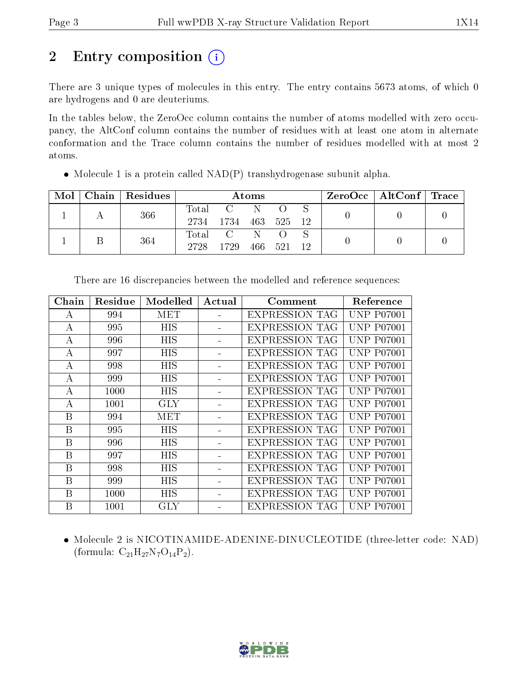# 2 Entry composition  $\left( \cdot \right)$

There are 3 unique types of molecules in this entry. The entry contains 5673 atoms, of which 0 are hydrogens and 0 are deuteriums.

In the tables below, the ZeroOcc column contains the number of atoms modelled with zero occupancy, the AltConf column contains the number of residues with at least one atom in alternate conformation and the Trace column contains the number of residues modelled with at most 2 atoms.

| Mol |  | Chain   Residues | Atoms           |             |  |         |      | $\text{ZeroOcc}$   AltConf   Trace |  |  |
|-----|--|------------------|-----------------|-------------|--|---------|------|------------------------------------|--|--|
|     |  | 366              |                 | Total C N O |  |         |      |                                    |  |  |
|     |  | 2734             | 1734 463 525 12 |             |  |         |      |                                    |  |  |
|     |  | 364              |                 | Total C N O |  |         |      |                                    |  |  |
|     |  |                  | 2728            | 1729        |  | 466 521 | - 12 |                                    |  |  |

• Molecule 1 is a protein called  $NAD(P)$  transhydrogenase subunit alpha.

| Chain            | Residue | Modelled   | Actual | Comment               | Reference         |
|------------------|---------|------------|--------|-----------------------|-------------------|
| A                | 994     | MET        |        | EXPRESSION TAG        | <b>UNP P07001</b> |
| A                | 995     | <b>HIS</b> |        | <b>EXPRESSION TAG</b> | <b>UNP P07001</b> |
| А                | 996     | <b>HIS</b> |        | <b>EXPRESSION TAG</b> | <b>UNP P07001</b> |
| А                | 997     | HIS        |        | <b>EXPRESSION TAG</b> | <b>UNP P07001</b> |
| A                | 998     | <b>HIS</b> |        | <b>EXPRESSION TAG</b> | <b>UNP P07001</b> |
| А                | 999     | HIS        |        | <b>EXPRESSION TAG</b> | <b>UNP P07001</b> |
| A                | 1000    | <b>HIS</b> |        | <b>EXPRESSION TAG</b> | <b>UNP P07001</b> |
| A                | 1001    | <b>GLY</b> |        | EXPRESSION TAG        | <b>UNP P07001</b> |
| B                | 994     | MET        |        | <b>EXPRESSION TAG</b> | <b>UNP P07001</b> |
| $\boldsymbol{B}$ | 995     | <b>HIS</b> |        | <b>EXPRESSION TAG</b> | <b>UNP P07001</b> |
| Β                | 996     | <b>HIS</b> |        | EXPRESSION TAG        | <b>UNP P07001</b> |
| B                | 997     | <b>HIS</b> |        | <b>EXPRESSION TAG</b> | <b>UNP P07001</b> |
| B                | 998     | <b>HIS</b> |        | <b>EXPRESSION TAG</b> | <b>UNP P07001</b> |
| B                | 999     | <b>HIS</b> |        | <b>EXPRESSION TAG</b> | <b>UNP P07001</b> |
| Β                | 1000    | HIS        |        | <b>EXPRESSION TAG</b> | <b>UNP P07001</b> |
| B                | 1001    | <b>GLY</b> |        | <b>EXPRESSION TAG</b> | <b>UNP P07001</b> |

There are 16 discrepancies between the modelled and reference sequences:

 Molecule 2 is NICOTINAMIDE-ADENINE-DINUCLEOTIDE (three-letter code: NAD) (formula:  $C_{21}H_{27}N_7O_{14}P_2$ ).

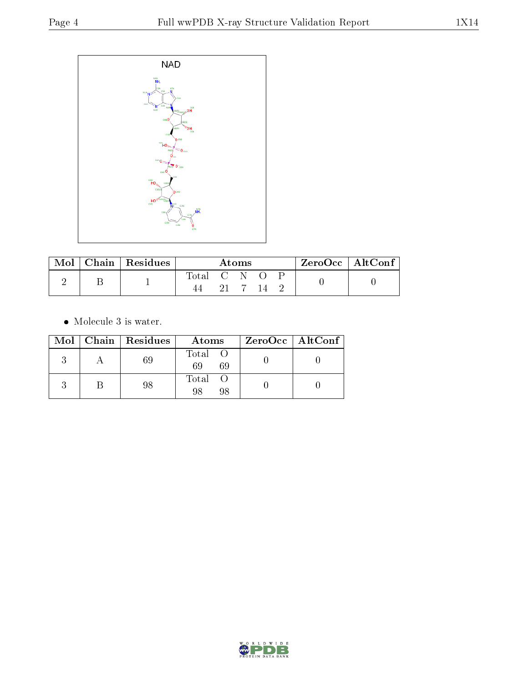

| Mol | Chain   Residues | Atoms       |       |  |  | $ZeroOcc \mid AltConf \mid$ |  |  |
|-----|------------------|-------------|-------|--|--|-----------------------------|--|--|
|     |                  | Total C N O | -21 - |  |  |                             |  |  |

 $\bullet\,$  Molecule 3 is water.

|  | $Mol$   Chain   Residues | Atoms               | $ZeroOcc \   \ AltConf \  $ |
|--|--------------------------|---------------------|-----------------------------|
|  | 69                       | Total O<br>69<br>69 |                             |
|  | 98                       | Total O<br>98<br>98 |                             |

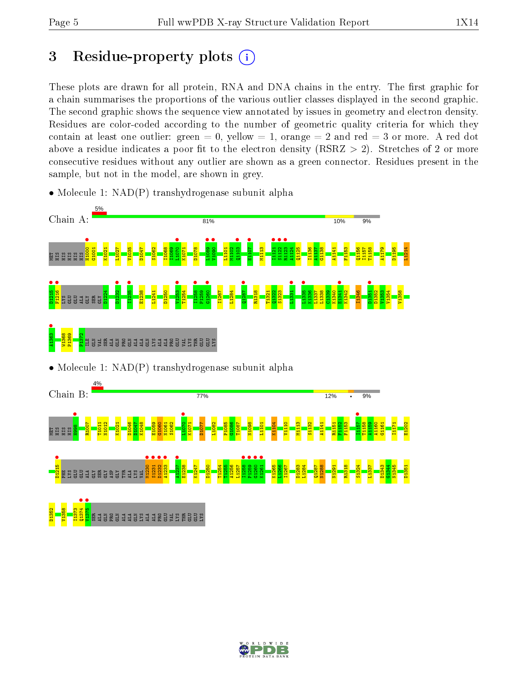# 3 Residue-property plots  $(i)$

These plots are drawn for all protein, RNA and DNA chains in the entry. The first graphic for a chain summarises the proportions of the various outlier classes displayed in the second graphic. The second graphic shows the sequence view annotated by issues in geometry and electron density. Residues are color-coded according to the number of geometric quality criteria for which they contain at least one outlier: green  $= 0$ , yellow  $= 1$ , orange  $= 2$  and red  $= 3$  or more. A red dot above a residue indicates a poor fit to the electron density (RSRZ  $> 2$ ). Stretches of 2 or more consecutive residues without any outlier are shown as a green connector. Residues present in the sample, but not in the model, are shown in grey.

• Molecule 1: NAD(P) transhydrogenase subunit alpha



• Molecule 1: NAD(P) transhydrogenase subunit alpha



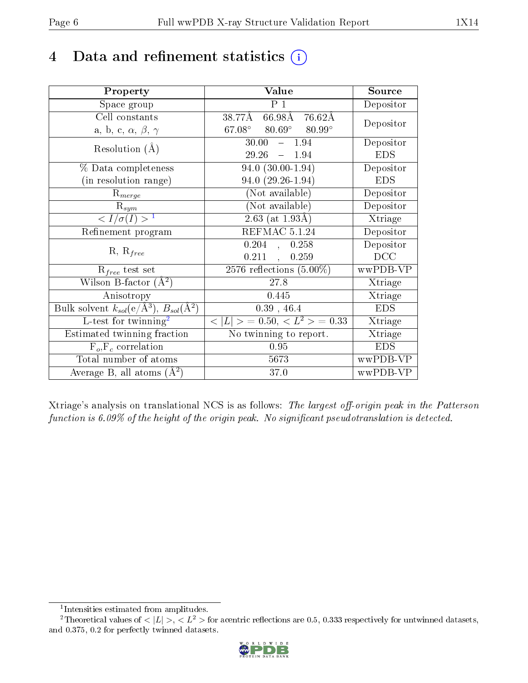# 4 Data and refinement statistics  $(i)$

| Property                                                         | Value                                            | Source     |
|------------------------------------------------------------------|--------------------------------------------------|------------|
| Space group                                                      | P <sub>1</sub>                                   | Depositor  |
| Cell constants                                                   | 38.77Å<br>66.98Å 76.62Å                          |            |
| a, b, c, $\alpha$ , $\beta$ , $\gamma$                           | $80.69^{\circ}$ $80.99^{\circ}$<br>$67.08^\circ$ | Depositor  |
| Resolution $(A)$                                                 | 30.00<br>$-1.94$                                 | Depositor  |
|                                                                  | 29.26<br>$-1.94$                                 | <b>EDS</b> |
| % Data completeness                                              | $94.0(30.00-1.94)$                               | Depositor  |
| (in resolution range)                                            | $94.0(29.26-1.94)$                               | <b>EDS</b> |
| $R_{merge}$                                                      | (Not available)                                  | Depositor  |
| $\mathrm{R}_{sym}$                                               | (Not available)                                  | Depositor  |
| $\langle I/\sigma(I)\rangle^{-1}$                                | $(2.63 \text{ (at } 1.93 \text{\AA})$            | Xtriage    |
| Refinement program                                               | REFMAC 5.1.24                                    | Depositor  |
|                                                                  | 0.204,<br>0.258                                  | Depositor  |
| $R, R_{free}$                                                    | $0.211$ ,<br>0.259                               | DCC        |
| $\mathcal{R}_{free}$ test set                                    | 2576 reflections $(5.00\%)$                      | wwPDB-VP   |
| Wilson B-factor $(A^2)$                                          | 27.8                                             | Xtriage    |
| Anisotropy                                                       | 0.445                                            | Xtriage    |
| Bulk solvent $k_{sol}(\text{e}/\text{A}^3), B_{sol}(\text{A}^2)$ | $0.39$ , 46.4                                    | <b>EDS</b> |
| $L$ -test for twinning <sup>2</sup>                              | $< L >$ = 0.50, $< L^2 >$ = 0.33                 | Xtriage    |
| Estimated twinning fraction                                      | No twinning to report.                           | Xtriage    |
| $F_o, F_c$ correlation                                           | 0.95                                             | <b>EDS</b> |
| Total number of atoms                                            | 5673                                             | wwPDB-VP   |
| Average B, all atoms $(A^2)$                                     | 37.0                                             | wwPDB-VP   |

Xtriage's analysis on translational NCS is as follows: The largest off-origin peak in the Patterson function is  $6.09\%$  of the height of the origin peak. No significant pseudotranslation is detected.

<sup>&</sup>lt;sup>2</sup>Theoretical values of  $\langle |L| \rangle$ ,  $\langle L^2 \rangle$  for acentric reflections are 0.5, 0.333 respectively for untwinned datasets, and 0.375, 0.2 for perfectly twinned datasets.



<span id="page-5-1"></span><span id="page-5-0"></span><sup>1</sup> Intensities estimated from amplitudes.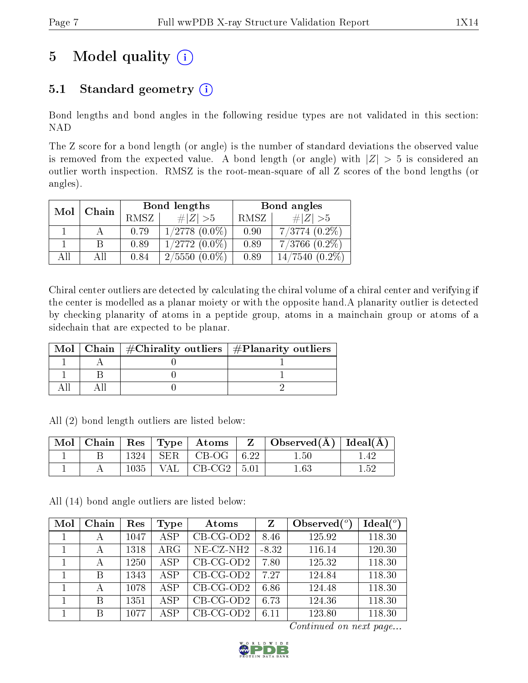# 5 Model quality  $(i)$

### 5.1 Standard geometry  $(i)$

Bond lengths and bond angles in the following residue types are not validated in this section: NAD

The Z score for a bond length (or angle) is the number of standard deviations the observed value is removed from the expected value. A bond length (or angle) with  $|Z| > 5$  is considered an outlier worth inspection. RMSZ is the root-mean-square of all Z scores of the bond lengths (or angles).

| Mol |       |      | Bond lengths       | Bond angles |                    |  |
|-----|-------|------|--------------------|-------------|--------------------|--|
|     | Chain | RMSZ | $\# Z  > 5$        | RMSZ        | # $ Z  > 5$        |  |
|     |       | 0.79 | $1/2778$ $(0.0\%)$ | 0.90        | $7/3774$ $(0.2\%)$ |  |
|     |       | 0.89 | $1/2772(0.0\%)$    | 0.89        | $7/3766$ $(0.2\%)$ |  |
| All | ΑH    | 0.84 | $2/5550(0.0\%)$    | 0.89        | $14/7540(0.2\%)$   |  |

Chiral center outliers are detected by calculating the chiral volume of a chiral center and verifying if the center is modelled as a planar moiety or with the opposite hand.A planarity outlier is detected by checking planarity of atoms in a peptide group, atoms in a mainchain group or atoms of a sidechain that are expected to be planar.

|  | Mol   Chain   $\#\text{Chirality outliers}$   $\#\text{Planarity outliers}$ |
|--|-----------------------------------------------------------------------------|
|  |                                                                             |
|  |                                                                             |
|  |                                                                             |

All (2) bond length outliers are listed below:

| $\text{Mol}$ |      | $\vert$ Chain $\vert$ Res $\vert$ Type $\vert$ Atoms | $Z -$ | $\vert$ Observed( $\rm \AA$ ) $\vert$ Ideal( $\rm \AA$ ) |     |
|--------------|------|------------------------------------------------------|-------|----------------------------------------------------------|-----|
|              | 1324 | $\perp$ SER $\perp$ CB-OG $\perp$ 6.22               |       | $1.50\,$                                                 | -42 |
|              | 1035 | VAL $\vert$ CB-CG2 $\vert$ 5.01                      |       | $1.63\,$                                                 | 152 |

All (14) bond angle outliers are listed below:

| Mol | Chain | Res  | Type       | Atoms        | $\mathbf{Z}$ | Observed $(°)$ | Ideal $(°)$ |
|-----|-------|------|------------|--------------|--------------|----------------|-------------|
|     | А     | 1047 | <b>ASP</b> | $CB-CG-OD2$  | 8.46         | 125.92         | 118.30      |
|     | А     | 1318 | $\rm{ARG}$ | $NE- CZ-NH2$ | $-8.32$      | 116.14         | 120.30      |
|     | А     | 1250 | <b>ASP</b> | $CB-CG-OD2$  | 7.80         | 125.32         | 118.30      |
|     | B     | 1343 | <b>ASP</b> | $CB-CG-OD2$  | 7.27         | 124.84         | 118.30      |
|     | А     | 1078 | <b>ASP</b> | $CB-CG-OD2$  | 6.86         | 124.48         | 118.30      |
|     | B     | 1351 | <b>ASP</b> | $CB-CG-OD2$  | 6.73         | 124.36         | 118.30      |
|     | B     | 1077 | ASP        | $CB-CG-OD2$  | 6.11         | 123.80         | 118.30      |

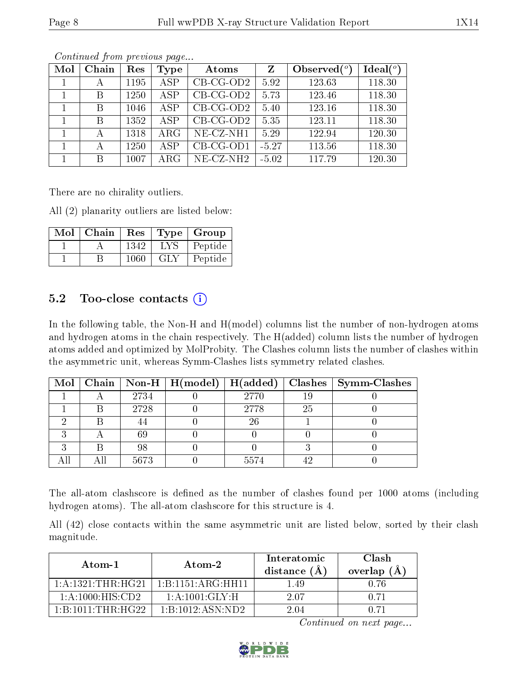| Mol | Chain | Res  | Type       | Atoms        | $\mathbf{Z}$ | Observed $(°)$ | Ideal $(°)$ |
|-----|-------|------|------------|--------------|--------------|----------------|-------------|
|     | А     | 1195 | ASP        | $CB-CG-OD2$  | 5.92         | 123.63         | 118.30      |
|     | B     | 1250 | <b>ASP</b> | $CB-CG-OD2$  | 5.73         | 123.46         | 118.30      |
|     | B     | 1046 | <b>ASP</b> | $CB-CG-OD2$  | 5.40         | 123.16         | 118.30      |
|     | В     | 1352 | <b>ASP</b> | $CB-CG-OD2$  | 5.35         | 123.11         | 118.30      |
|     | А     | 1318 | $\rm{ARG}$ | $NE$ -CZ-NH1 | 5.29         | 122.94         | 120.30      |
|     | А     | 1250 | ASP        | $CB-CG-OD1$  | $-5.27$      | 113.56         | 118.30      |
|     | В     | 1007 | $\rm{ARG}$ | $NE-CZ-NH2$  | $-5.02$      | 117.79         | 120.30      |

There are no chirality outliers.

All (2) planarity outliers are listed below:

| Mol | Chain | Res  |            | Type   Group |
|-----|-------|------|------------|--------------|
|     |       | 1342 | <b>LYS</b> | Peptide      |
|     |       | 1060 | <b>GLY</b> | Peptide      |

### $5.2$  Too-close contacts  $(i)$

In the following table, the Non-H and H(model) columns list the number of non-hydrogen atoms and hydrogen atoms in the chain respectively. The H(added) column lists the number of hydrogen atoms added and optimized by MolProbity. The Clashes column lists the number of clashes within the asymmetric unit, whereas Symm-Clashes lists symmetry related clashes.

|  |      |      |    | Mol   Chain   Non-H   H(model)   H(added)   Clashes   Symm-Clashes |
|--|------|------|----|--------------------------------------------------------------------|
|  | 2734 | 2770 | 19 |                                                                    |
|  | 2728 | 2778 | 25 |                                                                    |
|  |      | 26   |    |                                                                    |
|  | 69   |      |    |                                                                    |
|  | 98   |      |    |                                                                    |
|  | 5673 | 5574 |    |                                                                    |

The all-atom clashscore is defined as the number of clashes found per 1000 atoms (including hydrogen atoms). The all-atom clashscore for this structure is 4.

All (42) close contacts within the same asymmetric unit are listed below, sorted by their clash magnitude.

| Atom-1                                      | Atom-2             | Interatomic<br>distance $(A)$ | Clash.<br>overlap $(A)$ |
|---------------------------------------------|--------------------|-------------------------------|-------------------------|
| 1: A: 1321: THE:HG21                        | 1:B:1151:ARG:HH11  | 1.49                          | ነ 76                    |
| 1:A:1000:HIS:CD2                            | 1: A: 1001: GLY: H | 2.07                          | O 71                    |
| $1 \cdot B \cdot 1011 \cdot THR \cdot HG22$ | 1:B:1012:ASN:ND2   | 2 04                          |                         |

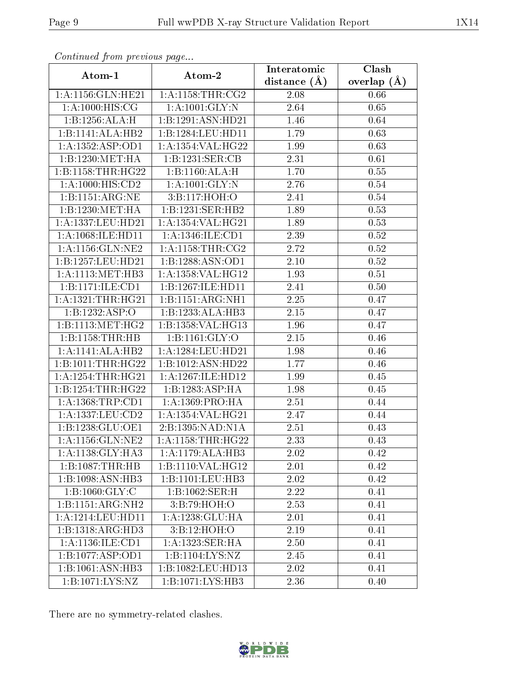| $\mathbf{v}$ and $\mathbf{r}$<br>Atom-1 |                                | Interatomic      | Clash         |  |
|-----------------------------------------|--------------------------------|------------------|---------------|--|
|                                         | Atom-2                         | distance $(\AA)$ | overlap $(A)$ |  |
| $1:$ A:1156: $GLN:$ HE21                | 1: A:1158:THR:CG2              | 2.08             | 0.66          |  |
| 1: A: 1000: HIS: CG                     | 1: A: 1001: GLY: N             | $2.64\,$         | 0.65          |  |
| 1:B:1256:ALA:H                          | 1:B:1291:ASN:HD21              | 1.46             | 0.64          |  |
| 1:B:1141:ALA:HB2                        | 1:B:1284:LEU:HD11              | 1.79             | 0.63          |  |
| 1: A: 1352: ASP:OD1                     | 1: A: 1354: VAL: HG22          | 1.99             | 0.63          |  |
| 1:B:1230:MET:HA                         | 1:B:1231:SER:CB                | 2.31             | 0.61          |  |
| 1:B:1158:THR:HG22                       | 1:B:1160:ALA:H                 | 1.70             | 0.55          |  |
| 1:A:1000:HIS:CD2                        | 1:A:1001:GLY:N                 | 2.76             | $0.54\,$      |  |
| 1:B:1151:ARG:NE                         | 3:B:117:HOH:O                  | 2.41             | 0.54          |  |
| 1:B:1230:MET:HA                         | 1:B:1231:SER:HB2               | 1.89             | 0.53          |  |
| 1:A:1337:LEU:HD21                       | 1:A:1354:VAL:HG21              | 1.89             | 0.53          |  |
| 1:A:1068:ILE:HD11                       | 1: A: 1346: ILE: CD1           | 2.39             | 0.52          |  |
| 1: A: 1156: GLN: NE2                    | 1: A:1158:THR:CG2              | 2.72             | 0.52          |  |
| 1:B:1257:LEU:HD21                       | 1:B:1288:ASN:OD1               | 2.10             | $0.52\,$      |  |
| 1:A:1113:MET:HB3                        | 1: A: 1358: VAL:HG12           | 1.93             | 0.51          |  |
| 1:B:1171:ILE:CD1                        | 1:B:1267:ILE:HD11              | 2.41             | 0.50          |  |
| 1: A: 1321: THR: HG21                   | 1:B:1151:ARG:NH1               | 2.25             | 0.47          |  |
| 1:B:1232:ASP:O                          | 1:B:1233:ALA:HB3               | 2.15             | 0.47          |  |
| 1:B:1113:MET:HG2                        | 1:B:1358:VAL:HG13              | 1.96             | 0.47          |  |
| 1:B:1158:THR:HB                         | 1: B: 1161: GLY: O             | 2.15             | 0.46          |  |
| 1:A:1141:ALA:HB2                        | $1:A:1284:LEU:\overline{HD21}$ | 1.98             | 0.46          |  |
| 1:B:1011:THR:HG22                       | 1:B:1012:ASN:HD22              | 1.77             | 0.46          |  |
| 1:A:1254:THR:HG21                       | 1:A:1267:ILE:HD12              | 1.99             | 0.45          |  |
| 1:B:1254:THR:HG22                       | 1:B:1283:ASP:HA                | 1.98             | 0.45          |  |
| $1: A: 1368: \text{TRP:CD1}$            | 1: A: 1369: PRO: HA            | $2.51\,$         | 0.44          |  |
| 1:A:1337:LEU:CD2                        | 1:A:1354:VAL:HG21              | 2.47             | 0.44          |  |
| 1:B:1238:GLU:OE1                        | 2:B:1395:NAD:N1A               | 2.51             | 0.43          |  |
| 1: A: 1156: GLN: NE2                    | 1: A:1158:THR:HG22             | 2.33             | 0.43          |  |
| 1:A:1138:GLY:HA3                        | 1:A:1179:ALA:HB3               | 2.02             | 0.42          |  |
| 1:B:1087:THR:HB                         | 1:B:1110:VAL:HG12              | 2.01             | 0.42          |  |
| 1:B:1098:ASN:HB3                        | 1:B:1101:LEU:HB3               | 2.02             | 0.42          |  |
| 1:B:1060:GLY:C                          | 1:B:1062:SER:H                 | 2.22             | 0.41          |  |
| 1:B:1151:ARG:NH2                        | 3:B:79:HOH:O                   | 2.53             | 0.41          |  |
| 1:A:1214:LEU:HD11                       | 1: A: 1238: GLU: HA            | 2.01             | 0.41          |  |
| 1:B:1318:ARG:HD3                        | 3:B:12:HOH:O                   | 2.19             | 0.41          |  |
| 1: A: 1136: ILE: CD1                    | 1:A:1323:SER:HA                | 2.50             | 0.41          |  |
| 1:B:1077:ASP:OD1                        | 1:B:1104:LYS:NZ                | 2.45             | 0.41          |  |
| 1:B:1061:ASN:HB3                        | 1:B:1082:LEU:HD13              | 2.02             | 0.41          |  |
| 1:B:1071:LYS:NZ                         | 1:B:1071:LYS:HB3               | 2.36             | 0.40          |  |

There are no symmetry-related clashes.

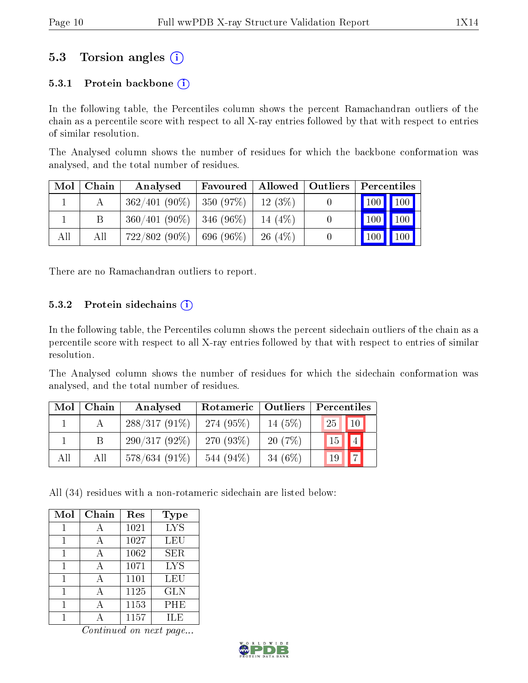### 5.3 Torsion angles (i)

#### 5.3.1 Protein backbone  $(i)$

In the following table, the Percentiles column shows the percent Ramachandran outliers of the chain as a percentile score with respect to all X-ray entries followed by that with respect to entries of similar resolution.

The Analysed column shows the number of residues for which the backbone conformation was analysed, and the total number of residues.

| Mol | Chain | Analysed        | Favoured               | $\blacksquare$ Allowed $\blacksquare$ | Outliers | Percentiles                  |                    |
|-----|-------|-----------------|------------------------|---------------------------------------|----------|------------------------------|--------------------|
|     |       | $362/401(90\%)$ | $ 350(97\%)$           | $12(3\%)$                             |          | $\mid$ 100 $\mid$ 100 $\mid$ |                    |
|     | В     | $360/401(90\%)$ | $ 346(96\%)$           | 14 (4\%)                              | $\theta$ | $\vert$ 100 $\vert$          | 100                |
| All | All   | $722/802(90\%)$ | $^{\prime}$ 696 (96%). | $26(4\%)$                             |          | 100                          | $\blacksquare$ 100 |

There are no Ramachandran outliers to report.

#### 5.3.2 Protein sidechains  $(i)$

In the following table, the Percentiles column shows the percent sidechain outliers of the chain as a percentile score with respect to all X-ray entries followed by that with respect to entries of similar resolution.

The Analysed column shows the number of residues for which the sidechain conformation was analysed, and the total number of residues.

| Mol | Chain | Analysed        | Rotameric   Outliers |           | Percentiles          |
|-----|-------|-----------------|----------------------|-----------|----------------------|
|     |       | $288/317(91\%)$ | 274 (95\%)           | 14 $(5%)$ | 10 <br>25            |
|     |       | $290/317(92\%)$ | 270 $(93%)$          | 20(7%)    | 15                   |
| All | All   | $578/634(91\%)$ | 544 $(94\%)$         | 34 $(6%)$ | $\overline{ }$<br>19 |

All (34) residues with a non-rotameric sidechain are listed below:

| Mol | Chain | Res  | <b>Type</b> |
|-----|-------|------|-------------|
|     |       | 1021 | <b>LYS</b>  |
|     |       | 1027 | LEU         |
|     |       | 1062 | <b>SER</b>  |
|     |       | 1071 | <b>LYS</b>  |
|     | А     | 1101 | LEU         |
|     |       | 1125 | <b>GLN</b>  |
|     |       | 1153 | PHE         |
|     |       | 1157 | ILE         |

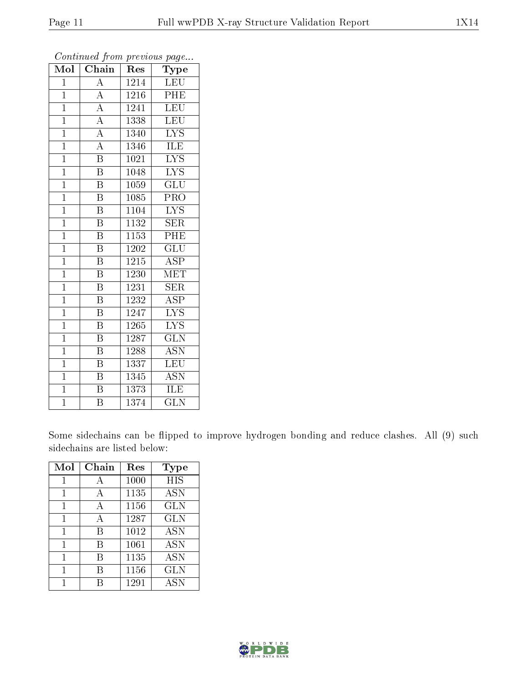| $\overline{\text{Mol}}$ | $\overline{\text{Chain}}$ | Res               | $\overline{\phantom{a}}$<br>Type |
|-------------------------|---------------------------|-------------------|----------------------------------|
| $\mathbf{1}$            | $\overline{\rm A}$        | 1214              | <b>LEU</b>                       |
| $\mathbf{1}$            | $\overline{A}$            | 1216              | PHE                              |
| $\mathbf{1}$            | $\overline{A}$            | 1241              | <b>LEU</b>                       |
| $\overline{1}$          | $\overline{\rm A}$        | 1338              | LEU                              |
| $\mathbf{1}$            | $\overline{A}$            | 1340              | $\overline{\text{LYS}}$          |
| $\overline{1}$          | $\overline{\rm A}$        | 1346              | ILE                              |
| $\mathbf{1}$            | $\overline{\mathrm{B}}$   | 1021              | <b>LYS</b>                       |
| $\mathbf{1}$            | $\overline{\mathrm{B}}$   | 1048              | <b>LYS</b>                       |
| $\overline{1}$          | $\overline{\mathrm{B}}$   | 1059              | GLU                              |
| $\mathbf{1}$            | $\overline{\mathrm{B}}$   | 1085              | PRO                              |
| $\overline{1}$          | $\overline{\mathrm{B}}$   | 1104              | <b>LYS</b>                       |
| $\mathbf{1}$            | $\overline{\mathrm{B}}$   | 1132              | <b>SER</b>                       |
| $\overline{1}$          | $\overline{B}$            | 1153              | PHE                              |
| $\mathbf{1}$            | $\overline{\mathrm{B}}$   | 1202              | $\overline{\mathrm{GLU}}$        |
| $\overline{1}$          | $\overline{\mathrm{B}}$   | $121\overline{5}$ | <b>ASP</b>                       |
| $\mathbf{1}$            | $\overline{\mathrm{B}}$   | 1230              | <b>MET</b>                       |
| $\overline{1}$          | $\overline{\mathrm{B}}$   | 1231              | SER                              |
| $\mathbf{1}$            | B                         | 1232              | ASP                              |
| $\overline{1}$          | $\overline{B}$            | 1247              | $\overline{\text{LYS}}$          |
| $\mathbf{1}$            | $\overline{\mathrm{B}}$   | $126\overline{5}$ | <b>LYS</b>                       |
| $\mathbf{1}$            | $\rm \bar{B}$             | 1287              | $\overline{\text{GLN}}$          |
| $\mathbf{1}$            | $\overline{\mathrm{B}}$   | 1288              | <b>ASN</b>                       |
| $\mathbf{1}$            | B                         | 1337              | LEU                              |
| $\overline{1}$          | $\overline{\mathrm{B}}$   | 1345              | $A\overline{S}\overline{N}$      |
| $\overline{1}$          | $\overline{\mathrm{B}}$   | 1373              | ILE                              |
| $\overline{1}$          | $\overline{\mathrm{B}}$   | 1374              | $\overline{\text{GLN}}$          |

Some sidechains can be flipped to improve hydrogen bonding and reduce clashes. All (9) such sidechains are listed below:

| Mol | Chain | Res  | Type       |
|-----|-------|------|------------|
|     | А     | 1000 | HIS        |
| 1   | A     | 1135 | <b>ASN</b> |
| 1   | А     | 1156 | <b>GLN</b> |
| 1   | А     | 1287 | <b>GLN</b> |
| 1   | В     | 1012 | <b>ASN</b> |
| 1   | В     | 1061 | <b>ASN</b> |
| 1   | В     | 1135 | <b>ASN</b> |
| 1   | R     | 1156 | <b>GLN</b> |
|     |       | 1291 | <b>ASN</b> |

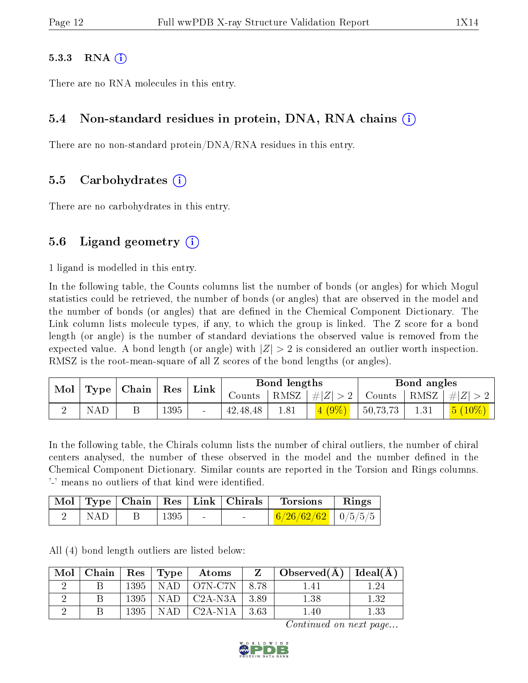#### $5.3.3$  RNA  $(i)$

There are no RNA molecules in this entry.

#### 5.4 Non-standard residues in protein, DNA, RNA chains (i)

There are no non-standard protein/DNA/RNA residues in this entry.

#### 5.5 Carbohydrates (i)

There are no carbohydrates in this entry.

#### 5.6 Ligand geometry  $(i)$

1 ligand is modelled in this entry.

In the following table, the Counts columns list the number of bonds (or angles) for which Mogul statistics could be retrieved, the number of bonds (or angles) that are observed in the model and the number of bonds (or angles) that are defined in the Chemical Component Dictionary. The Link column lists molecule types, if any, to which the group is linked. The Z score for a bond length (or angle) is the number of standard deviations the observed value is removed from the expected value. A bond length (or angle) with  $|Z| > 2$  is considered an outlier worth inspection. RMSZ is the root-mean-square of all Z scores of the bond lengths (or angles).

|                          |     |      | Link |            | Bond lengths |                    |          | Bond angles |                                                        |
|--------------------------|-----|------|------|------------|--------------|--------------------|----------|-------------|--------------------------------------------------------|
| Mol   Type   Chain   Res |     |      |      | Counts     |              | RMSZ   $\# Z  > 2$ |          |             | $\vert$ Counts $\vert$ RMSZ $\vert \#  Z  > 2$ $\vert$ |
|                          | NAD | 1395 |      | 42, 48, 48 | 1.81         | 4(9%)              | 50,73,73 | 1.31        | $\mid 5 \ (10\%) \mid \mid$                            |

In the following table, the Chirals column lists the number of chiral outliers, the number of chiral centers analysed, the number of these observed in the model and the number defined in the Chemical Component Dictionary. Similar counts are reported in the Torsion and Rings columns. '-' means no outliers of that kind were identified.

|     |              | Mol   Type   Chain   Res   Link   Chirals | Torsions                                | Rings |
|-----|--------------|-------------------------------------------|-----------------------------------------|-------|
| NAD | $\perp$ 1395 |                                           | $\frac{6}{26/62/62}$ $\frac{10}{5/5/5}$ |       |

All (4) bond length outliers are listed below:

| Mol | Chain   $\text{Res}$   $\text{Type}$ |      |      | $\boldsymbol{\mathrm{Atoms}}$ |        | Observed $(A)$   Ideal $(A)$ |      |
|-----|--------------------------------------|------|------|-------------------------------|--------|------------------------------|------|
|     |                                      |      |      | $1395$   NAD   O7N-C7N        | - 8.78 | 1.41                         | .24  |
|     |                                      |      |      | $1395$   NAD   C2A-N3A        | 3.89   | 1.38                         | 1.32 |
|     |                                      | 1395 | NAD. | $\mid$ C2A-N1A $\mid$         | -3.63  | .40                          | 1.33 |

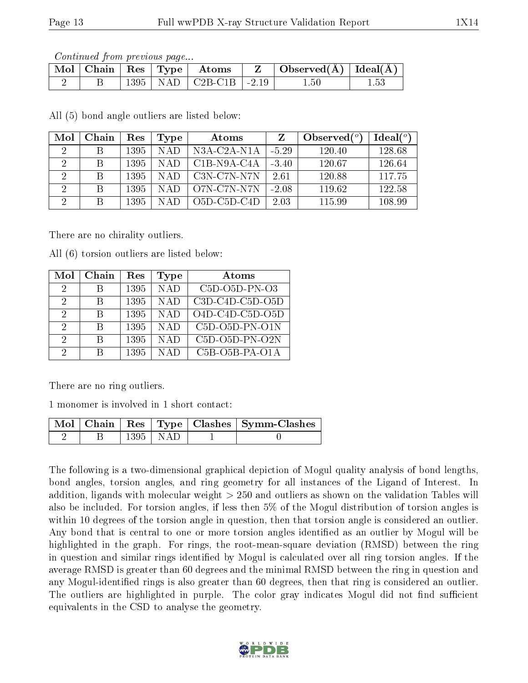|  |  | $\Box$ Mol $\vert$ Chain $\vert$ Res $\vert$ Type $\vert$ Atoms | Observed $(\AA)$   Ideal $(\AA)$ |          |
|--|--|-----------------------------------------------------------------|----------------------------------|----------|
|  |  | $1395$   NAD   C2B-C1B   -2.19                                  | .50                              | $1.53\,$ |

All (5) bond angle outliers are listed below:

| Mol            | Chain | Res  | Type  | Atoms           |         | Observed $\binom{o}{c}$ | Ideal $(°)$ |
|----------------|-------|------|-------|-----------------|---------|-------------------------|-------------|
| -2             | B     | 1395 | NAD   | $N3A-C2A-N1A$   | $-5.29$ | 120.40                  | 128.68      |
| 2              | B     | 1395 | NAD   | $C1B- N9A- C4A$ | $-3.40$ | 120.67                  | 126.64      |
| 2              | B     | 1395 | N A D | C3N-C7N-N7N     | 2.61    | 120.88                  | 117.75      |
| 2              | B     | 1395 | NAD   | O7N-C7N-N7N     | $-2.08$ | 119.62                  | 122.58      |
| $\overline{2}$ | B     | 1395 |       | $O5D$ -C5D-C4D  | 2.03    | 115.99                  | 108.99      |

There are no chirality outliers.

All (6) torsion outliers are listed below:

| Mol           | Chain | Res  | <b>Type</b> | Atoms             |
|---------------|-------|------|-------------|-------------------|
| 2             | В     | 1395 | <b>NAD</b>  | $C5D-O5D-PN-O3$   |
| 2             | B     | 1395 | <b>NAD</b>  | $C3D-C4D-C5D-O5D$ |
| 2             | R     | 1395 | <b>NAD</b>  | $O4D-C4D-C5D-O5D$ |
| $\mathcal{D}$ | R     | 1395 | <b>NAD</b>  | $C5D-O5D-PN-O1N$  |
| 2             | В     | 1395 | <b>NAD</b>  | $C5D-O5D-PN-O2N$  |
| 9             | В     | 1395 | NAD         | $C5B-O5B-PA-O1A$  |

There are no ring outliers.

1 monomer is involved in 1 short contact:

|  |            | Mol   Chain   Res   Type   Clashes   Symm-Clashes |
|--|------------|---------------------------------------------------|
|  | 1395   NAD |                                                   |

The following is a two-dimensional graphical depiction of Mogul quality analysis of bond lengths, bond angles, torsion angles, and ring geometry for all instances of the Ligand of Interest. In addition, ligands with molecular weight > 250 and outliers as shown on the validation Tables will also be included. For torsion angles, if less then 5% of the Mogul distribution of torsion angles is within 10 degrees of the torsion angle in question, then that torsion angle is considered an outlier. Any bond that is central to one or more torsion angles identified as an outlier by Mogul will be highlighted in the graph. For rings, the root-mean-square deviation (RMSD) between the ring in question and similar rings identified by Mogul is calculated over all ring torsion angles. If the average RMSD is greater than 60 degrees and the minimal RMSD between the ring in question and any Mogul-identified rings is also greater than 60 degrees, then that ring is considered an outlier. The outliers are highlighted in purple. The color gray indicates Mogul did not find sufficient equivalents in the CSD to analyse the geometry.

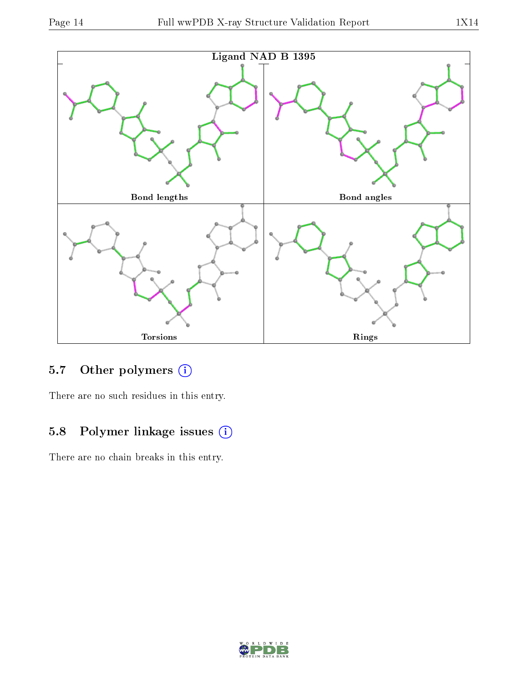

### 5.7 [O](https://www.wwpdb.org/validation/2017/XrayValidationReportHelp#nonstandard_residues_and_ligands)ther polymers (i)

There are no such residues in this entry.

### 5.8 Polymer linkage issues (i)

There are no chain breaks in this entry.

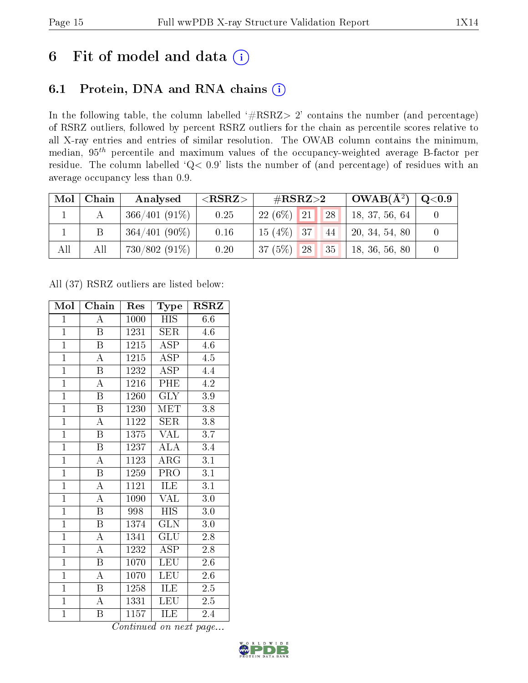# 6 Fit of model and data  $(i)$

### 6.1 Protein, DNA and RNA chains  $(i)$

In the following table, the column labelled  $#RSRZ> 2'$  contains the number (and percentage) of RSRZ outliers, followed by percent RSRZ outliers for the chain as percentile scores relative to all X-ray entries and entries of similar resolution. The OWAB column contains the minimum, median,  $95<sup>th</sup>$  percentile and maximum values of the occupancy-weighted average B-factor per residue. The column labelled ' $Q< 0.9$ ' lists the number of (and percentage) of residues with an average occupancy less than 0.9.

| Mol | Chain | Analysed        | ${ <\hspace{-1.5pt}{\mathrm{RSRZ}} \hspace{-1.5pt}>}$ | $\rm \#RSRZ{>}2$       | $\mid$ OWAB( $\rm \AA^2) \mid$ | $\rm Q\textcolor{black}{<}0.9$ |
|-----|-------|-----------------|-------------------------------------------------------|------------------------|--------------------------------|--------------------------------|
|     |       | $366/401(91\%)$ | 0.25                                                  | $22(6\%)$ 21<br>$-128$ | 18, 37, 56, 64                 |                                |
|     |       | $364/401(90\%)$ | 0.16                                                  | $15(4\%)$ 37<br>44     | 20, 34, 54, 80                 |                                |
| All | All   | $730/802(91\%)$ | 0.20                                                  | 37 (5%)<br> 35 <br> 28 | 18, 36, 56, 80                 |                                |

All (37) RSRZ outliers are listed below:

| Mol            | Chain                   | Res                   | Type                    | <b>RSRZ</b>      |
|----------------|-------------------------|-----------------------|-------------------------|------------------|
| $\mathbf{1}$   | А                       | 1000                  | HIS                     | 6.6              |
| $\mathbf{1}$   | $\boldsymbol{B}$        | 1231                  | SER                     | 4.6              |
| $\overline{1}$ | B                       | 1215                  | $\overline{\text{ASP}}$ | 4.6              |
| $\overline{1}$ | $\boldsymbol{A}$        | 1215                  | ASP                     | $4.5\,$          |
| $\overline{1}$ | $\overline{\mathrm{B}}$ | 1232                  | $\overline{\text{ASP}}$ | 4.4              |
| $\overline{1}$ | $\boldsymbol{A}$        | 1216                  | PHE                     | 4.2              |
| $\overline{1}$ | B                       | 1260                  | <b>GLY</b>              | 3.9              |
| $\overline{1}$ | B                       | 1230                  | MET                     | 3.8              |
| $\overline{1}$ | $\boldsymbol{A}$        | 1122                  | <b>SER</b>              | 3.8              |
| $\overline{1}$ | $\overline{\mathrm{B}}$ | $13\overline{75}$     | <b>VAL</b>              | $\overline{3.7}$ |
| $\mathbf{1}$   | $\boldsymbol{B}$        | 1237                  | $\overline{ALA}$        | 3.4              |
| $\overline{1}$ | $\overline{\rm A}$      | 1123                  | $\overline{\rm{ARG}}$   | $\overline{3.1}$ |
| $\overline{1}$ | $\overline{\mathrm{B}}$ | 1259                  | PRO                     | $\overline{3.1}$ |
| $\overline{1}$ | $\boldsymbol{A}$        | 1121                  | ILE                     | $\overline{3.1}$ |
| $\overline{1}$ | $\overline{\rm A}$      | 1090                  | <b>VAL</b>              | 3.0              |
| $\overline{1}$ | Β                       | 998                   | <b>HIS</b>              | 3.0              |
| $\overline{1}$ | $\overline{\mathrm{B}}$ | 1374                  | $\overline{\text{GLN}}$ | 3.0              |
| $\overline{1}$ | A                       | 1341                  | GLU                     | $2.8\,$          |
| $\overline{1}$ | $\boldsymbol{A}$        | 1232                  | <b>ASP</b>              | 2.8              |
| $\overline{1}$ | B                       | 1070                  | LEU                     | $2.6\,$          |
| $\overline{1}$ | $\overline{\rm A}$      | 1070                  | <b>LEU</b>              | 2.6              |
| $\overline{1}$ | Β                       | 1258                  | ILE                     | $2.5\,$          |
| $\overline{1}$ | $\overline{\rm A}$      | 1331                  | <b>LEU</b>              | $2.\overline{5}$ |
| $\overline{1}$ | Β<br>$\sim$             | 1157<br>$\rightarrow$ | ILE<br>$\mathbf{r}$     | 2.4              |

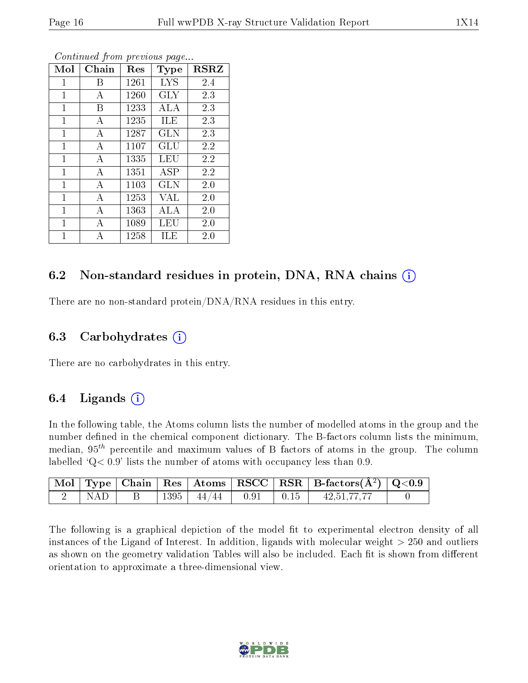| Mol          | Chain          | Res  | <b>Type</b> | <b>RSRZ</b> |
|--------------|----------------|------|-------------|-------------|
| $\mathbf 1$  | Β              | 1261 | <b>LYS</b>  | 2.4         |
| 1            | А              | 1260 | GLY         | 2.3         |
| $\mathbf{1}$ | В              | 1233 | ALA         | 2.3         |
| $\mathbf{1}$ | А              | 1235 | ILE         | 2.3         |
| $\mathbf 1$  | А              | 1287 | GLN         | 2.3         |
| $\mathbf{1}$ | А              | 1107 | GLU         | 2.2         |
| $\mathbf{1}$ | $\overline{A}$ | 1335 | LEU         | 2.2         |
| $\mathbf{1}$ | A              | 1351 | <b>ASP</b>  | 2.2         |
| $\mathbf{1}$ | А              | 1103 | GLN         | 2.0         |
| $\mathbf{1}$ | $\overline{A}$ | 1253 | <b>VAL</b>  | 2.0         |
| 1            | А              | 1363 | ALA         | 2.0         |
| $\mathbf{1}$ | А              | 1089 | LEU         | 2.0         |
| 1            | А              | 1258 | ILE         | 2.0         |

### 6.2 Non-standard residues in protein, DNA, RNA chains  $(i)$

There are no non-standard protein/DNA/RNA residues in this entry.

#### 6.3 Carbohydrates  $(i)$

There are no carbohydrates in this entry.

#### 6.4 Ligands  $(i)$

In the following table, the Atoms column lists the number of modelled atoms in the group and the number defined in the chemical component dictionary. The B-factors column lists the minimum, median,  $95<sup>th</sup>$  percentile and maximum values of B factors of atoms in the group. The column labelled  $Q< 0.9$ ' lists the number of atoms with occupancy less than 0.9.

|     |      |                                                                                    |  | $\mid$ Mol $\mid$ Type $\mid$ Chain $\mid$ Res $\mid$ Atoms $\mid$ RSCC $\mid$ RSR $\mid$ B-factors(A <sup>2</sup> ) $\mid$ Q<0.9 |  |
|-----|------|------------------------------------------------------------------------------------|--|-----------------------------------------------------------------------------------------------------------------------------------|--|
| NAD | 1395 | $\begin{array}{ c c c c c c c c } \hline 44/44 & 0.91 & 0.15 \ \hline \end{array}$ |  | 42,51,77,77                                                                                                                       |  |

The following is a graphical depiction of the model fit to experimental electron density of all instances of the Ligand of Interest. In addition, ligands with molecular weight  $> 250$  and outliers as shown on the geometry validation Tables will also be included. Each fit is shown from different orientation to approximate a three-dimensional view.